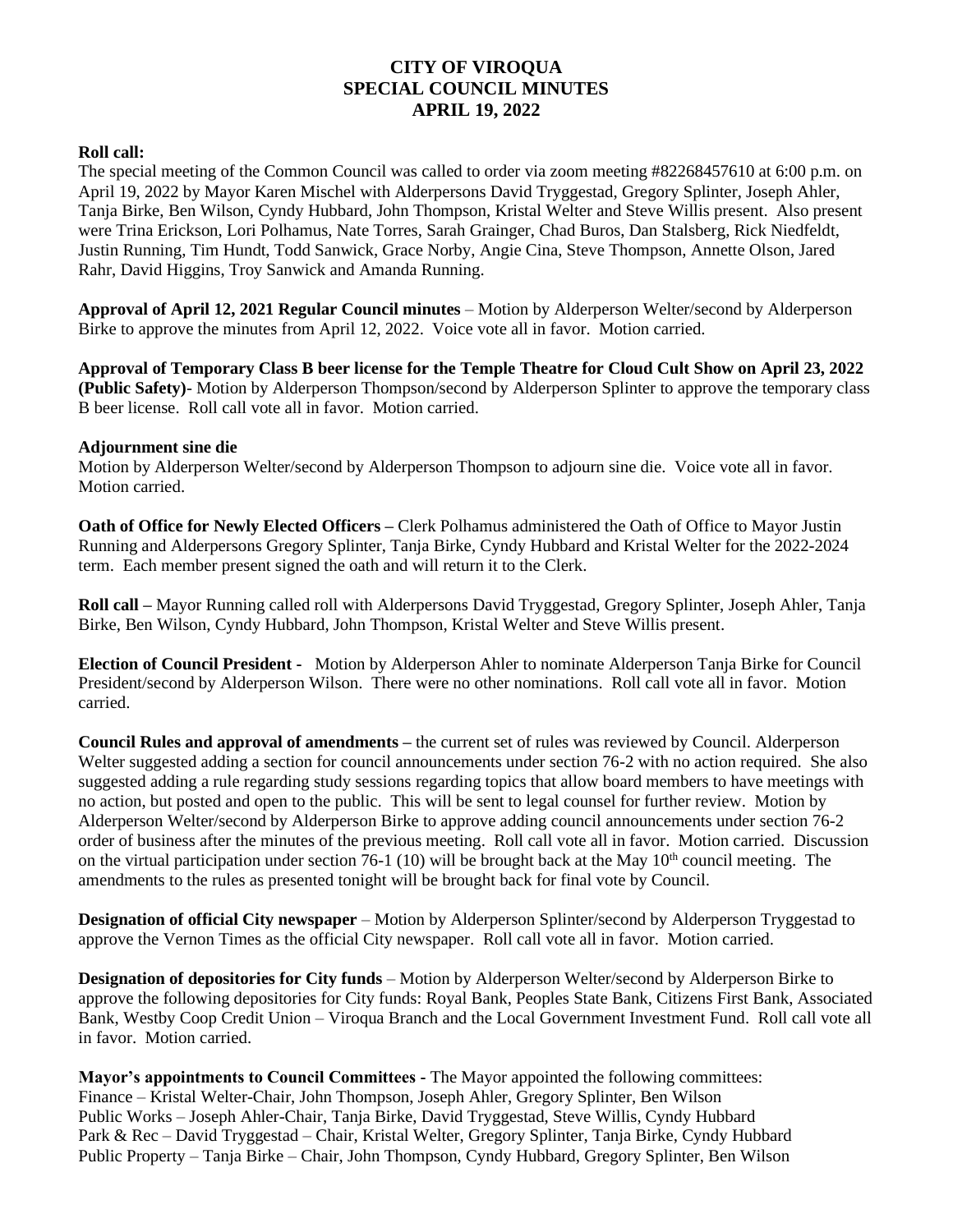## **CITY OF VIROQUA SPECIAL COUNCIL MINUTES APRIL 19, 2022**

## **Roll call:**

The special meeting of the Common Council was called to order via zoom meeting #82268457610 at 6:00 p.m. on April 19, 2022 by Mayor Karen Mischel with Alderpersons David Tryggestad, Gregory Splinter, Joseph Ahler, Tanja Birke, Ben Wilson, Cyndy Hubbard, John Thompson, Kristal Welter and Steve Willis present. Also present were Trina Erickson, Lori Polhamus, Nate Torres, Sarah Grainger, Chad Buros, Dan Stalsberg, Rick Niedfeldt, Justin Running, Tim Hundt, Todd Sanwick, Grace Norby, Angie Cina, Steve Thompson, Annette Olson, Jared Rahr, David Higgins, Troy Sanwick and Amanda Running.

**Approval of April 12, 2021 Regular Council minutes** – Motion by Alderperson Welter/second by Alderperson Birke to approve the minutes from April 12, 2022. Voice vote all in favor. Motion carried.

**Approval of Temporary Class B beer license for the Temple Theatre for Cloud Cult Show on April 23, 2022 (Public Safety)**- Motion by Alderperson Thompson/second by Alderperson Splinter to approve the temporary class B beer license. Roll call vote all in favor. Motion carried.

## **Adjournment sine die**

Motion by Alderperson Welter/second by Alderperson Thompson to adjourn sine die. Voice vote all in favor. Motion carried.

**Oath of Office for Newly Elected Officers – Clerk Polhamus administered the Oath of Office to Mayor Justin** Running and Alderpersons Gregory Splinter, Tanja Birke, Cyndy Hubbard and Kristal Welter for the 2022-2024 term. Each member present signed the oath and will return it to the Clerk.

**Roll call –** Mayor Running called roll with Alderpersons David Tryggestad, Gregory Splinter, Joseph Ahler, Tanja Birke, Ben Wilson, Cyndy Hubbard, John Thompson, Kristal Welter and Steve Willis present.

**Election of Council President -** Motion by Alderperson Ahler to nominate Alderperson Tanja Birke for Council President/second by Alderperson Wilson. There were no other nominations. Roll call vote all in favor. Motion carried.

**Council Rules and approval of amendments –** the current set of rules was reviewed by Council. Alderperson Welter suggested adding a section for council announcements under section 76-2 with no action required. She also suggested adding a rule regarding study sessions regarding topics that allow board members to have meetings with no action, but posted and open to the public. This will be sent to legal counsel for further review. Motion by Alderperson Welter/second by Alderperson Birke to approve adding council announcements under section 76-2 order of business after the minutes of the previous meeting. Roll call vote all in favor. Motion carried. Discussion on the virtual participation under section 76-1 (10) will be brought back at the May  $10<sup>th</sup>$  council meeting. The amendments to the rules as presented tonight will be brought back for final vote by Council.

**Designation of official City newspaper** – Motion by Alderperson Splinter/second by Alderperson Tryggestad to approve the Vernon Times as the official City newspaper. Roll call vote all in favor. Motion carried.

**Designation of depositories for City funds** – Motion by Alderperson Welter/second by Alderperson Birke to approve the following depositories for City funds: Royal Bank, Peoples State Bank, Citizens First Bank, Associated Bank, Westby Coop Credit Union – Viroqua Branch and the Local Government Investment Fund. Roll call vote all in favor. Motion carried.

**Mayor's appointments to Council Committees -** The Mayor appointed the following committees: Finance – Kristal Welter-Chair, John Thompson, Joseph Ahler, Gregory Splinter, Ben Wilson Public Works – Joseph Ahler-Chair, Tanja Birke, David Tryggestad, Steve Willis, Cyndy Hubbard Park & Rec – David Tryggestad – Chair, Kristal Welter, Gregory Splinter, Tanja Birke, Cyndy Hubbard Public Property – Tanja Birke – Chair, John Thompson, Cyndy Hubbard, Gregory Splinter, Ben Wilson